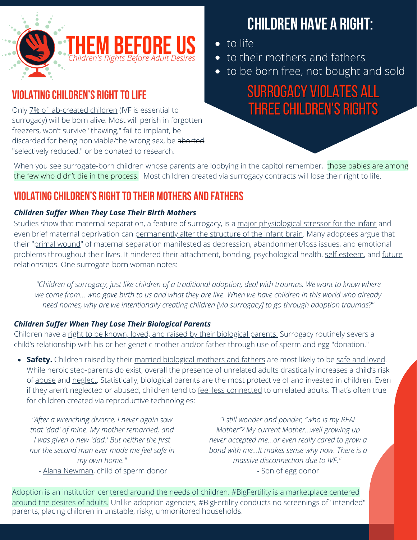

## **VIOLATING CHILDREN'S RIGHT TO LIFE**

Only 7% of [lab-created](https://www.dailymail.co.uk/news/article-2255107/1-7-million-embryos-created-IVF-thrown-away-just-7-cent-lead-pregnancy.html) children (IVF is essential to surrogacy) will be born alive. Most will perish in forgotten freezers, won't survive "thawing," fail to implant, be discarded for being non viable/the wrong sex, be aborted "selectively reduced," or be donated to research.

# **Children have a right:**

- to life
- to their mothers and fathers
- to be born free, not bought and sold

SURROGACY VIOLATES ALL THREE CHILDREN'S RIGHTS

the few who didn't die in the process. Most children created via surrogacy contracts will lose their right to life. When you see surrogate-born children whose parents are lobbying in the capitol remember, those babies are among

## **VIOLATING CHILDREN'S RIGHT TO THEIR MOTHERS AND FATHERS**

#### *Children Suffer When They Lose Their Birth Mothers*

Studies show that maternal separation, a feature of surrogacy, [is](https://www.sciencedaily.com/releases/2011/11/111102124955.htm) a major [physiological](https://www.sciencedaily.com/releases/2011/11/111102124955.htm) stressor for the infant and even brief maternal deprivation can [permanently](https://www.sciencedaily.com/releases/2018/05/180503142724.htm) alter the structure of the infant brain[.](https://www.sciencedaily.com/releases/2018/05/180503142724.htm) Many adoptees argue that their "primal [wound](https://www.family-institute.org/sites/default/files/pdfs/csi_drustrup_hidden_impact_of_adoption.pdf)" of maternal separation manifested as depression, abandonment/loss issues, and emotional problems throughout their lives. It hindered their attachment, bonding, psychological health, [self-esteem](https://pubmed.ncbi.nlm.nih.gov/14108429/), and future relationships. One [surrogate-born](https://mariedolfi.com/adoption-resource/relinquishment-trauma-the-forgotten-trauma/) woman notes:

"Children of surrogacy, just like children of a traditional adoption, deal with traumas. We want to know where we come from... who gave birth to us and what they are like. When we have children in this world who already *need homes, why are we intentionally creating children [via surrogacy] to go through adoption traumas?"*

#### *Children Suffer When They Lose Their [Biological](https://thembeforeus.com/jessica-kern/) Parents*

[Children](https://thembeforeus.com/jessica-kern/) have a right to be known, loved, and raised by their [biological](https://thembeforeus.com/jessica-kern/) parents. Surrogacy routinely severs a child's [relationship](https://thembeforeus.com/jessica-kern/) with his or her genetic mother and/or father through use of sperm and egg "donation."

**Safety.** Children raised by their married [biological](https://eric.ed.gov/?id=EJ1079423) mothers and fathers are most likely to be safe and [loved.](https://thembeforeus.com/biology-matters/) While heroic step-parents do exist, overall the presence of unrelated adults drastically increases a child's risk of [abuse](https://www.thepublicdiscourse.com/2011/04/3181/) and [neglect](https://www.princeton.edu/~accase/downloads/Mothers_and_Others.pdf). Statistically, biological parents are the most protective of and invested in children. Even if they aren't neglected or abused, children tend to feel less [connected](https://www.pewresearch.org/social-trends/2011/01/13/a-portrait-of-stepfamilies/) to unrelated adults. That's often true for children created via reproductive [technologies:](https://fluxconsole.com/files/item/441/56197/My-Daddys-Name-is-Donor-Full-Study.pdf)

*"After a wrenching divorce, I never again saw that 'dad' of mine. My mother remarried, and I was given a new 'dad.' But neither the first nor the second man ever made me feel safe in my own home."* - Alana [Newman](https://www.thepublicdiscourse.com/2014/11/13993/), child of sperm donor

*"I still wonder and ponder, "who is my REAL Mother"? My current Mother…well growing up never accepted me…or even really cared to grow a bond with me…It makes sense why now. There is a massive disconnection due to IVF." -* Son of egg donor

Adoption is an institution centered around the needs of children. #BigFertility is a marketplace centered around the desires of adults. Unlike [adoption](https://thembeforeus.com/us-founder-testifies-uniform-parentage-act/) agencies, #BigFertility conducts no screenings of "intended" parents, placing children in unstable, risky, unmonitored households.